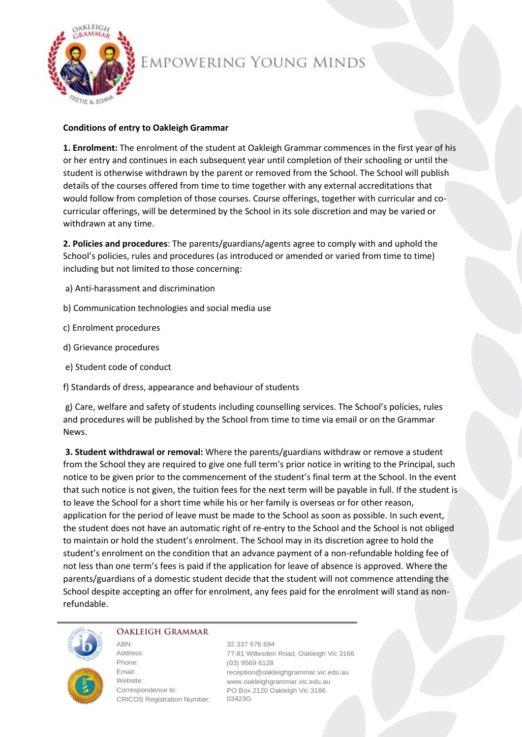

# EMPOWERING YOUNG MINDS

# **Conditions of entry to Oakleigh Grammar**

**1. Enrolment:** The enrolment of the student at Oakleigh Grammar commences in the first year of his or her entry and continues in each subsequent year until completion of their schooling or until the student is otherwise withdrawn by the parent or removed from the School. The School will publish details of the courses offered from time to time together with any external accreditations that would follow from completion of those courses. Course offerings, together with curricular and cocurricular offerings, will be determined by the School in its sole discretion and may be varied or withdrawn at any time.

**2. Policies and procedures**: The parents/guardians/agents agree to comply with and uphold the School's policies, rules and procedures (as introduced or amended or varied from time to time) including but not limited to those concerning:

- a) Anti-harassment and discrimination
- b) Communication technologies and social media use
- c) Enrolment procedures
- d) Grievance procedures
- e) Student code of conduct
- f) Standards of dress, appearance and behaviour of students

g) Care, welfare and safety of students including counselling services. The School's policies, rules and procedures will be published by the School from time to time via email or on the Grammar News.

**3. Student withdrawal or removal:** Where the parents/guardians withdraw or remove a student from the School they are required to give one full term's prior notice in writing to the Principal, such notice to be given prior to the commencement of the student's final term at the School. In the event that such notice is not given, the tuition fees for the next term will be payable in full. If the student is to leave the School for a short time while his or her family is overseas or for other reason, application for the period of leave must be made to the School as soon as possible. In such event, the student does not have an automatic right of re-entry to the School and the School is not obliged to maintain or hold the student's enrolment. The School may in its discretion agree to hold the student's enrolment on the condition that an advance payment of a non-refundable holding fee of not less than one term's fees is paid if the application for leave of absence is approved. Where the parents/guardians of a domestic student decide that the student will not commence attending the School despite accepting an offer for enrolment, any fees paid for the enrolment will stand as nonrefundable.



#### **OAKLEIGH GRAMMAR**

ARN<sup>-</sup>

Address: Phone: Fmail: Website: Correspondence to: CRICOS Registration Number: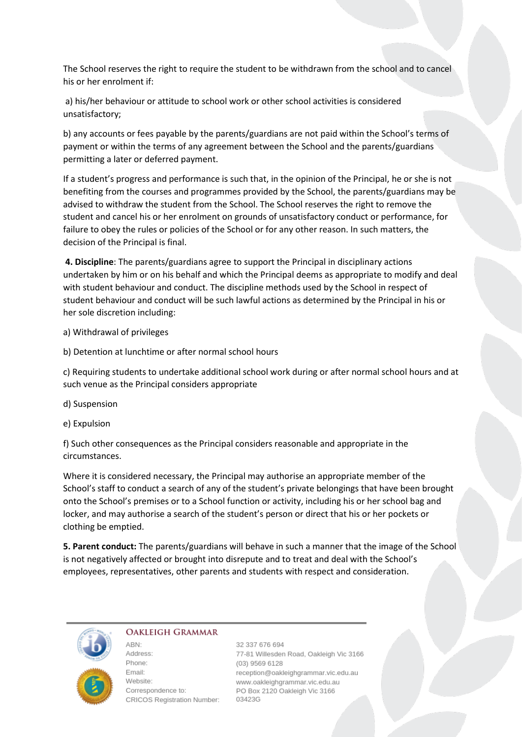The School reserves the right to require the student to be withdrawn from the school and to cancel his or her enrolment if:

a) his/her behaviour or attitude to school work or other school activities is considered unsatisfactory;

b) any accounts or fees payable by the parents/guardians are not paid within the School's terms of payment or within the terms of any agreement between the School and the parents/guardians permitting a later or deferred payment.

If a student's progress and performance is such that, in the opinion of the Principal, he or she is not benefiting from the courses and programmes provided by the School, the parents/guardians may be advised to withdraw the student from the School. The School reserves the right to remove the student and cancel his or her enrolment on grounds of unsatisfactory conduct or performance, for failure to obey the rules or policies of the School or for any other reason. In such matters, the decision of the Principal is final.

**4. Discipline**: The parents/guardians agree to support the Principal in disciplinary actions undertaken by him or on his behalf and which the Principal deems as appropriate to modify and deal with student behaviour and conduct. The discipline methods used by the School in respect of student behaviour and conduct will be such lawful actions as determined by the Principal in his or her sole discretion including:

a) Withdrawal of privileges

b) Detention at lunchtime or after normal school hours

c) Requiring students to undertake additional school work during or after normal school hours and at such venue as the Principal considers appropriate

d) Suspension

e) Expulsion

f) Such other consequences as the Principal considers reasonable and appropriate in the circumstances.

Where it is considered necessary, the Principal may authorise an appropriate member of the School's staff to conduct a search of any of the student's private belongings that have been brought onto the School's premises or to a School function or activity, including his or her school bag and locker, and may authorise a search of the student's person or direct that his or her pockets or clothing be emptied.

**5. Parent conduct:** The parents/guardians will behave in such a manner that the image of the School is not negatively affected or brought into disrepute and to treat and deal with the School's employees, representatives, other parents and students with respect and consideration.



#### **OAKLEIGH GRAMMAR**

ABN: Address: Phone: Email: Website: Correspondence to: CRICOS Registration Number: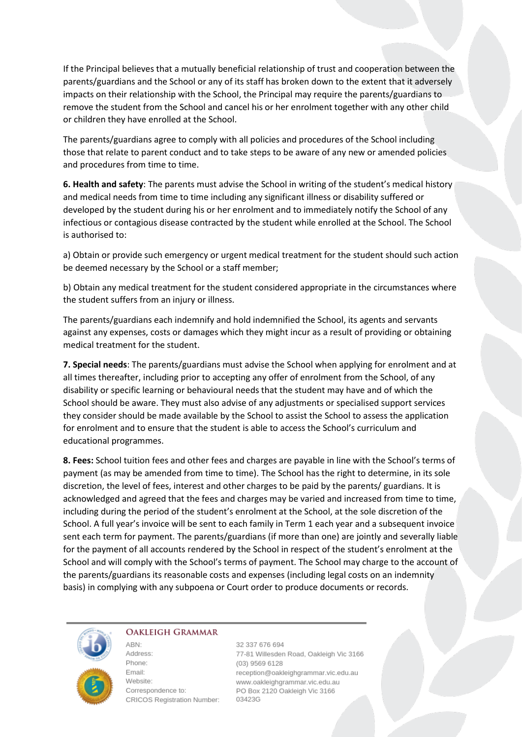If the Principal believes that a mutually beneficial relationship of trust and cooperation between the parents/guardians and the School or any of its staff has broken down to the extent that it adversely impacts on their relationship with the School, the Principal may require the parents/guardians to remove the student from the School and cancel his or her enrolment together with any other child or children they have enrolled at the School.

The parents/guardians agree to comply with all policies and procedures of the School including those that relate to parent conduct and to take steps to be aware of any new or amended policies and procedures from time to time.

**6. Health and safety**: The parents must advise the School in writing of the student's medical history and medical needs from time to time including any significant illness or disability suffered or developed by the student during his or her enrolment and to immediately notify the School of any infectious or contagious disease contracted by the student while enrolled at the School. The School is authorised to:

a) Obtain or provide such emergency or urgent medical treatment for the student should such action be deemed necessary by the School or a staff member;

b) Obtain any medical treatment for the student considered appropriate in the circumstances where the student suffers from an injury or illness.

The parents/guardians each indemnify and hold indemnified the School, its agents and servants against any expenses, costs or damages which they might incur as a result of providing or obtaining medical treatment for the student.

**7. Special needs**: The parents/guardians must advise the School when applying for enrolment and at all times thereafter, including prior to accepting any offer of enrolment from the School, of any disability or specific learning or behavioural needs that the student may have and of which the School should be aware. They must also advise of any adjustments or specialised support services they consider should be made available by the School to assist the School to assess the application for enrolment and to ensure that the student is able to access the School's curriculum and educational programmes.

**8. Fees:** School tuition fees and other fees and charges are payable in line with the School's terms of payment (as may be amended from time to time). The School has the right to determine, in its sole discretion, the level of fees, interest and other charges to be paid by the parents/ guardians. It is acknowledged and agreed that the fees and charges may be varied and increased from time to time, including during the period of the student's enrolment at the School, at the sole discretion of the School. A full year's invoice will be sent to each family in Term 1 each year and a subsequent invoice sent each term for payment. The parents/guardians (if more than one) are jointly and severally liable for the payment of all accounts rendered by the School in respect of the student's enrolment at the School and will comply with the School's terms of payment. The School may charge to the account of the parents/guardians its reasonable costs and expenses (including legal costs on an indemnity basis) in complying with any subpoena or Court order to produce documents or records.



### **OAKLEIGH GRAMMAR**

ABN:

Address: Phone: Email: Website: Correspondence to: CRICOS Registration Number: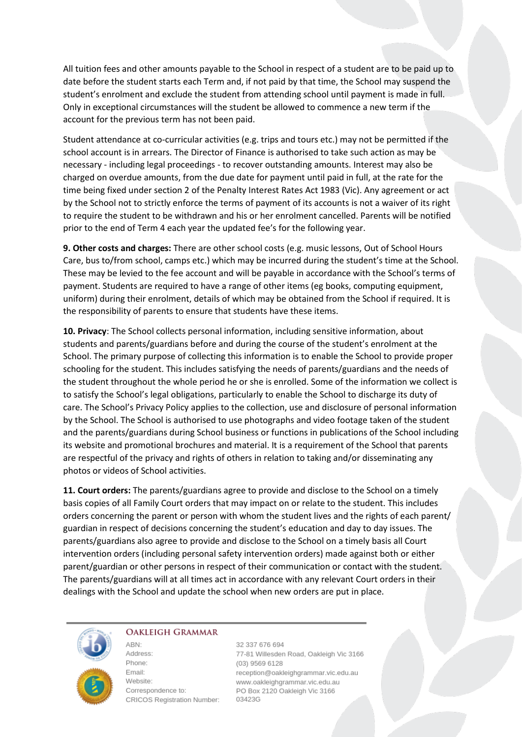All tuition fees and other amounts payable to the School in respect of a student are to be paid up to date before the student starts each Term and, if not paid by that time, the School may suspend the student's enrolment and exclude the student from attending school until payment is made in full. Only in exceptional circumstances will the student be allowed to commence a new term if the account for the previous term has not been paid.

Student attendance at co-curricular activities (e.g. trips and tours etc.) may not be permitted if the school account is in arrears. The Director of Finance is authorised to take such action as may be necessary - including legal proceedings - to recover outstanding amounts. Interest may also be charged on overdue amounts, from the due date for payment until paid in full, at the rate for the time being fixed under section 2 of the Penalty Interest Rates Act 1983 (Vic). Any agreement or act by the School not to strictly enforce the terms of payment of its accounts is not a waiver of its right to require the student to be withdrawn and his or her enrolment cancelled. Parents will be notified prior to the end of Term 4 each year the updated fee's for the following year.

**9. Other costs and charges:** There are other school costs (e.g. music lessons, Out of School Hours Care, bus to/from school, camps etc.) which may be incurred during the student's time at the School. These may be levied to the fee account and will be payable in accordance with the School's terms of payment. Students are required to have a range of other items (eg books, computing equipment, uniform) during their enrolment, details of which may be obtained from the School if required. It is the responsibility of parents to ensure that students have these items.

**10. Privacy**: The School collects personal information, including sensitive information, about students and parents/guardians before and during the course of the student's enrolment at the School. The primary purpose of collecting this information is to enable the School to provide proper schooling for the student. This includes satisfying the needs of parents/guardians and the needs of the student throughout the whole period he or she is enrolled. Some of the information we collect is to satisfy the School's legal obligations, particularly to enable the School to discharge its duty of care. The School's Privacy Policy applies to the collection, use and disclosure of personal information by the School. The School is authorised to use photographs and video footage taken of the student and the parents/guardians during School business or functions in publications of the School including its website and promotional brochures and material. It is a requirement of the School that parents are respectful of the privacy and rights of others in relation to taking and/or disseminating any photos or videos of School activities.

**11. Court orders:** The parents/guardians agree to provide and disclose to the School on a timely basis copies of all Family Court orders that may impact on or relate to the student. This includes orders concerning the parent or person with whom the student lives and the rights of each parent/ guardian in respect of decisions concerning the student's education and day to day issues. The parents/guardians also agree to provide and disclose to the School on a timely basis all Court intervention orders (including personal safety intervention orders) made against both or either parent/guardian or other persons in respect of their communication or contact with the student. The parents/guardians will at all times act in accordance with any relevant Court orders in their dealings with the School and update the school when new orders are put in place.



#### **OAKLEIGH GRAMMAR**

ABN:

Address: Phone: Email: Website: Correspondence to: CRICOS Registration Number: